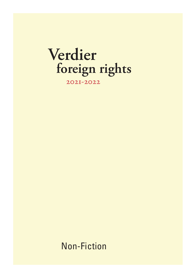# **Verdier foreign rights**

**2021-2022**

Non-Fiction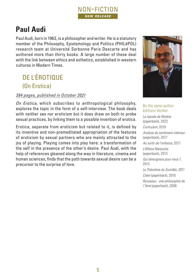

# **Paul Audi**

Paul Audi, born in 1963, is a philosopher and writer. He is a statutory member of the Philosophy, Epistemology and Politics (PHILéPOL) research team at Université Sorbonne Paris Descarte and has authored more than thirty books. A large number of these deal with the link between ethics and esthetics, established in western cultures in Modern Times.

# DE L'ÉROTIQUE (On Erotica)

#### *384 pages, published in October 2021*

*On Erotica,* which subscribes to anthropological philosophy, explores the topic in the form of a self-interview. The book deals with neither sex nor eroticism but it does draw on both to probe sexual practices, by linking them to a possible invention of erotica.

Erotica, separate from eroticism but related to it, is defined by its inventive and non-premeditated appropriation of the features of eroticism by sexual partners who are mainly attracted to the joy of playing. Playing comes into play here: a transformation of the self in the presence of the other's desire. Paul Audi, with the help of references gleaned along the way in literature, cinema and human sciences, finds that the path towards sexual desire can be a precursor to the surprise of love.



#### By the same author éditions Verdier

*La riposte de Molère* (paperback), 2022

*Curriculum,* 2019 *Analyse du sentiment intérieur*  (paperback), 2017 *Au sortir de l'enfance,* 2017 *L'Affaire Nietzsche* (paperback), 2013 *Qui témoignera pour nous ?,*  2013 *Le Théorème du Surmâle, 2011 Créer* (paperback), 2010 *Rousseau : une philosophie de l'âme* (paperback), 2008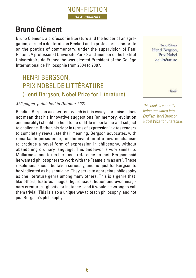# **Bruno Clément**

Bruno Clément, a professor in literature and the holder of an agrégation, earned a doctorate on Beckett and a professorial doctorate on the poetics of commentary, under the supervision of Paul Ricœur. A professor at Université Paris 8 and member of the Institut Universitaire de France, he was elected President of the Collège International de Philosophie from 2004 to 2007.

### HENRI BERGSON, PRIX NOBEL DE LITTÉRATURE (Henri Bergson, Nobel Prize for Literature)

#### *320 pages, published in October 2021*

Reading Bergson as a writer–which is this essay's premise–does not mean that his innovative suggestions (on memory, evolution and morality) should be held to be of little importance and subject to challenge. Rather, his rigor in terms of expression invites readers to completely reevaluate their meaning. Bergson advocates, with remarkable persistence, for the invention of a new mechanism to produce a novel form of expression in philosophy, without abandoning ordinary language. This endeavor is very similar to Mallarmé's, and taken here as a reference. In fact, Bergson said he wanted philosophers to work with the "same aim as art". These resolutions should be taken seriously, and not just for Bergson to be vindicated as he should be. They serve to appreciate philosophy as one literature genre among many others. This is a genre that, like others, features images, figureheads, fiction and even imaginary creatures-ghosts for instance-and it would be wrong to call them trivial. This is also a unique way to teach philosophy, and not just Bergson's philosophy.



*This book is currently being translated into English:* Henri Bergson, Nobel Prize for Literature*.*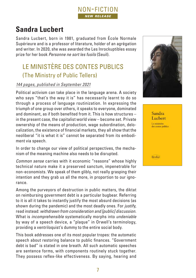# **Sandra Lucbert**

Sandra Lucbert, born in 1981, graduated from École Normale Supérieure and is a professor of literature, holder of an agrégation and writer. In 2020, she was awarded the Les Inrockuptibles essay prize for her book *Personne ne sort les fusils* (Seuil).

## LE MINISTÈRE DES CONTES PUBLICS (The Ministry of Public Tellers)

#### *144 pages, published in September 2021*

Political activism can take place in the language arena. A society who says "that's the way it is" has necessarily learnt to do so through a process of language routinization. In expressing the triumph of one group over others, it speaks to everyone, dominated and dominant, as if both benefited from it. This is how structures – in the present case, the capitalist world view – become set. Private ownership of the means of production, wage subordination, delocalization, the existence of financial markets, they all show that the neoliberal "it is what it is" cannot be separated from its embodiment via speech.

In order to change our view of political perspectives, the mechanism of the meaning machine also needs to be disrupted.

*Common sense* carries with it economic "reasons" whose highly technical nature make it a preserved sanctum, impenetrable for non-economists. We speak of them glibly, not really grasping their intention and they grab us all the more, in proportion to our ignorance.

Among the purveyors of destruction in public matters, the diktat on reimbursing government debt is a particular bugbear. Referring to it is all it takes to instantly justify the most absurd decisions (as shown during the pandemic) and the most deadly ones. For *justify,* read instead: *withdrawn from consideration and [public] discussion.*  What is *incomprehensible* systematically morphs into *undeniable* by way of a speech device, a "plaque" in Orwell's terminology, providing a ventriloquist's dummy to the entire social body.

This book addresses one of its most popular tropes: the automatic speech about restoring balance to public finances. "Government debt is bad" is stated in one breath. All such automatic speeches are sentence forms, with components routinely stuck together. They possess reflex-like effectiveness. By saying, hearing and



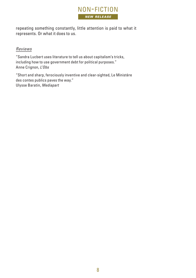

repeating something constantly, little attention is paid to what it represents. Or what it does to us.

#### *Reviews*

"Sandra Lucbert uses literature to tell us about capitalism's tricks, including how to use government debt for political purposes." Anne Crignon, *L'Obs*

"Short and sharp, ferociously inventive and clear-sighted, Le Ministère des contes publics paves the way." Ulysse Baratin, *Mediapart*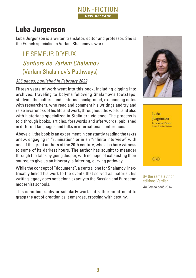

# **Luba Jurgenson**

Luba Jurgenson is a writer, translator, editor and professor. She is the French specialist in Varlam Shalamov's work.

LE SEMEUR D'YEUX *Sentiers de Varlam Chalamov* (Varlam Shalamov's Pathways)

#### *336 pages, published in February 2022*

Fifteen years of work went into this book, including digging into archives, traveling to Kolyma following Shalamov's footsteps, studying the cultural and historical background, exchanging notes with researchers, who read and comment his writings and try and raise awareness of his life and work, throughout the world, and also with historians specialized in Stalin era violence. The process is told through books, articles, forewords and afterwords, published in different languages and talks in international conferences.

Above all, the book is an experiment in constantly reading the texts anew, engaging in "rumination" or in an "infinite interview" with one of the great authors of the 20th century, who also bore witness to some of its darkest hours. The author has sought to meander through the tales by going deeper, with no hope of exhausting their source, to give us an itinerary, a faltering, curving pathway.

While the concept of "document", a central one for Shalamov, inextricably linked his work to the events that served as material, his writing legacy does not belong exactly to the Russian and European modernist schools.

This is no biography or scholarly work but rather an attempt to grasp the act of creation as it emerges, crossing with destiny.





By the same author éditions Verdier *Au lieu du péril,* 2014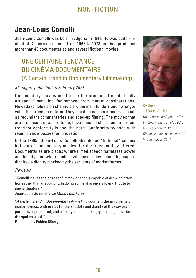# **Jean-Louis Comolli**

Jean-Louis Comolli was born in Algeria in 1941. He was editor-inchief of Cahiers du cinéma from 1965 to 1973 and has produced more than 40 documentaries and several fictional movies.

### UNE CERTAINE TENDANCE DU CINÉMA DOCUMENTAIRE (A Certain Trend in Documentary Filmmaking)

#### *96 pages, published in February 2021*

Documentary movies used to be the product of emphatically artisanal filmmaking, far removed from market considerations. Nowadays, television channels are the main funders and no longer value this freedom of form. They insist on certain standards, such as redundant commentaries and sped-up filming. The movies that are broadcast, or aspire to be, have become sterile and a certain trend for conformity is now the norm. Conformity twinned with rebellion now passes for innovation.

In the 1980s, Jean-Louis Comolli abandoned "fictional" cinema in favor of documentary movies, for the freedom they offered. Documentaries are places where filmed speech harnesses power and beauty, and where bodies, whomever they belong to, acquire dignity–a dignity mocked by the servants of market forces.

#### *Reviews*

"Comolli makes the case for filmmaking that is capable of drawing attention rather than grabbing it. In doing so, he also pays a loving tribute to movie theaters."

Jean-Louis Jeannelle, *Le Monde des livres*

"*A Certain Trend in Documentary Filmmaking* counters the arguments of market cynics, with praise for the subtlety and dignity of the way each person is represented, and a policy of not mocking group subjectivities or the spoken word."

Blog post by Fabien Ribery



#### By the same author éditions Verdier

*Une terrasse en Algérie,* 2018 *Cinéma, mode d'emploi,* 2015 *Corps et cadre,* 2012 *Cinéma contre spectacle,* 2009 *Voir et pouvoir,* 2004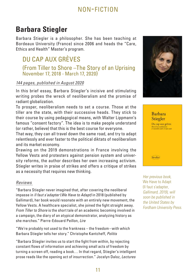# **Barbara Stiegler**

Barbara Stiegler is a philosopher. She has been teaching at Bordeaux University (France) since 2006 and heads the "Care, Ethics and Health" Master's program.

# DU CAP AUX GRÈVES

(From Tiller to Shore –The Story of an Uprising November 17, 2018 - March 17, 2020)

#### *144 pages, published in August 2020*

In this brief essay, Barbara Stiegler's incisive and stimulating writing probes the wreck of neoliberalism and the promise of radiant globalization.

To prosper, neoliberalism needs to set a course. Those at the tiller are the state, with their successive heads. They stick to their course by using pedagogical means, with Walter Lippmann's famous "consent factory". The idea is to make people understand (or rather, believe) that this is the best course for everyone.

That way, they can all travel down the same road, and try to adapt relentlessly and ever faster to the political diktats of neoliberalism and its market economy.

Drawing on the 2019 demonstrations in France involving the Yellow Vests and protesters against pension system and university reforms, the author describes her own increasing activism. Stiegler writes in praise of strikes and offers a critique of strikes as a necessity that requires new thinking.

#### *Reviews*

"Barbara Stiegler never imagined that, after covering the neoliberal impasse in *Il faut s'adapter* (*We Have to Adapt)* in 2018 (published by Gallimard), her book would resonate with an entirely new movement, the Yellow Vests. A healthcare specialist, she joined the fight straight away. *From Tiller to Shore* is the short tale of an academic becoming involved in a campaign, the diary of an atypical demonstrator, analyzing history as she marches." Pierre-Edouard Peillon, *Lire*

"We're probably not used to the frankness – the freedom–with which Barbara Stiegler tells her story." Christophe Kantcheff, *Politis*

"Barbara Stiegler invites us to start the fight from within, by rejecting constant flows of information and achieving small acts of freedom by turning a screen off, reading a book… In that regard, Stiegler's intelligent prose reads like the opening act of insurrection." Jocelyn Daloz, *Lectures*





*Her previous book,* We Have to Adapt (Il faut s'adapter, *Gallimard, 2019), will soon be published in the United States by Fordham University Press.*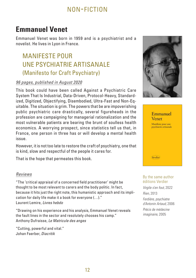# **Emmanuel Venet**

Emmanuel Venet was born in 1959 and is a psychiatrist and a novelist. He lives in Lyon in France.

## MANIFESTE POUR UNE PSYCHIATRIE ARTISANALE (Manifesto for Craft Psychiatry)

#### *96 pages, published in August 2020*

This book could have been called Against a Psychiatric Care System That Is Industrial, Data-Driven, Protocol-Heavy, Standardized, Digitized, Objectifying, Disembodied, Ultra-Fast and Non-Equitable. The situation is grim. The powers that be are impoverishing public psychiatric care drastically, several figureheads in the profession are campaigning for managerial rationalization and the most vulnerable patients are bearing the brunt of soulless health economics. A worrying prospect, since statistics tell us that, in France, one person in three has or will develop a mental health issue.

However, it is not too late to restore the craft of psychiatry, one that is kind, slow and respectful of the people it cares for.

That is the hope that permeates this book.

#### *Reviews*

"The 'critical appraisal of a concerned field practitioner' might be thought to be most relevant to carers and the body politic. In fact, because it hits just the right note, this humanistic approach and its implication for daily life make it a book for everyone (…)." Laurent Lemire, *Livres hebdo*

"Drawing on his experience and his analysis, Emmanuel Venet reveals the fault lines in the sector and resolutely chooses his camp." Anthony Dufraisse, *Le Matricule des anges*

"Cutting, powerful and vital." Johan Faerber, *Diacritik*



# Emmanuel Venet Manifeste pour une psychiatrie artisanale Verdier

#### By the same author éditions Verdier

*Virgile s'en fout,* 2022 *Rien,* 2013

*Ferdière, psychiatre d'Antonin Artaud,* 2006 *Précis de médecine imaginaire,* 2005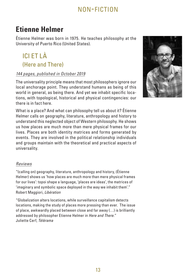# **Etienne Helmer**

Étienne Helmer was born in 1975. He teaches philosophy at the University of Puerto Rico (United States).

# ICI ET LÀ (Here and There)

#### *144 pages, published in October 2019*

The universality principle means that most philosophers ignore our local anchorage point. They understand humans as being of this world in general, as being there. And yet we inhabit specific locations, with topological, historical and physical contingencies: our there is in fact here.

What is a place? And what can philosophy tell us about it? Étienne Helmer calls on geography, literature, anthropology and history to understand this neglected object of Western philosophy. He shows us how places are much more than mere physical frames for our lives. Places are both identity matrices and forms generated by events. They are involved in the political relationship individuals and groups maintain with the theoretical and practical aspects of universality.

#### *Reviews*

"(calling on) geography, literature, anthropology and history, (Étienne Helmer) shows us 'how places are much more than mere physical frames for our lives': topoi shape a language, 'places are ideas', the matrices of 'imaginary and symbolic space deployed in the way we inhabit them'." Robert Maggiori, *Libération*

"Globalization alters locations, while surveillance capitalism detects locations, making the study of places more pressing than ever. The issue of place, awkwardly placed between close and far away (…) is brilliantly addressed by philosopher Etienne Helmer in *Here and There.*" Juliette Cerf, *Télérama*

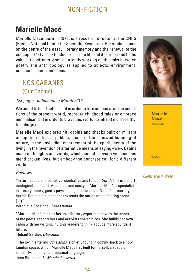# **Marielle Macé**

Marielle Macé, born in 1973, is a research director at the CNRS (French National Center for Scientific Research). Her studies focus on the genre of the essay, literary memory and the renewal of the concept of "style" extended from art to life and its forms, and to the values it confronts. She is currently working on the links between poetry and anthropology as applied to objects, environment, commons, plants and animals.

## NOS CABANES (Our Cabins)

#### *128 pages, published in March 2019*

We ought to build cabins, not in order to turn our backs on the conditions of the present world, recreate childhood tales or embrace minimalism; but in order to brave this world, to inhabit it differently, to enlarge it.

Marielle Macé explores hit, cabins and shacks built on militant occupation sites, in public spaces, in the renewed listening of nature, in the unyielding enlargement of the «parliament» of the living, in the invention of alternative means of saying «we». Cabins made of thoughts and words, which cannot alleviate violence and mend broken lives, but embody the concrete call for a different world.

#### *Reviews*

"In turn poetic and sensitive, combative and tender, *Our Cabins* is a short ecological pamphlet. Academic and essayist Marielle Macé, a specialist in literary theory, gently pays homage to the cabin. Not a Thoreau-style, hermit-like cabin but one that extends the notion of the fighting arena  $($ ...) $"$ 

Véronique Rossignol, *Livres hebdo*

"Marielle Macé mingles her own literary experiments with the words of the poets, researchers and activists she admires. She builds her own cabin with her writing, inviting readers to think about a more abundant future."

Thibaut Sardier, *Libération*

"The joy in entering *Our Cabins* is chiefly found in coming back to a now familiar space, which Marielle Macé has built for herself, a space of scholarly, sensitive and musical language." Jean Birnbaum, *Le Monde des livres*





*Rights sold in Brazil*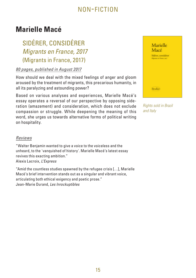# **Marielle Macé**

# SIDÉRER, CONSIDÉRER *Migrants en France, 2017* (Migrants in France, 2017)

#### *80 pages, published in August 2017*

How should we deal with the mixed feelings of anger and gloom aroused by the treatment of migrants, this precarious humanity, in all its paralyzing and astounding power?

Based on various analyses and experiences, Marielle Macé's essay operates a reversal of our perspective by opposing sideration (amazement) and consideration, which does not exclude compassion or struggle. While deepening the meaning of this word, she urges us towards alternative forms of political writing on hospitality.

| Marielle<br>Macé                                |  |
|-------------------------------------------------|--|
| Sidérer, considérer<br>Migrante en France, 2017 |  |
|                                                 |  |
|                                                 |  |
|                                                 |  |
| Verdier                                         |  |

*Rights sold in Brazil and Italy*

#### *Reviews*

"Walter Benjamin wanted to give a voice to the voiceless and the unheard, to the 'vanquished of history'. Marielle Macé's latest essay revives this exacting ambition." Alexis Lacroix, *L'Express*

"Amid the countless studies spawned by the refugee crisis […], Marielle Macé's brief intervention stands out as a singular and vibrant voice, articulating both ethical exigency and poetic prose." Jean-Marie Durand, *Les Inrockuptibles*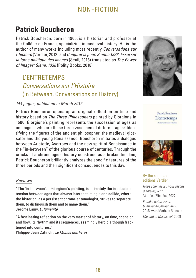# **Patrick Boucheron**

Patrick Boucheron, born in 1965, is a historian and professor at the Collège de France, specializing in medieval history. He is the author of many works including most recently *Conversations sur l'histoire* (Verdier, 2012) and *Conjurer la peur. Sienne 1338. Essai sur la force politique des images* (Seuil, 2013) translated as *The Power of Images: Siena, 1338* (Polity Books, 2018).

## L'ENTRETEMPS *Conversations sur l'Histoire* (In Between. Conversations on History)

#### *144 pages, published in March 2012*

Patrick Boucheron opens up an original reflection on time and history based on *The Three Philosophers* painted by Giorgione in 1506. Giorgione's painting represents the succession of ages as an enigma: who are these three wise men of different ages? Identifying the figures of the ancient philosopher, the medieval glossator and the young Renaissance, Boucheron initiates a dialogue between Aristotle, Averroes and the new spirit of Renaissance in the "in-between" of the glorious course of centuries. Through the cracks of a chronological history construed as a broken timeline, Patrick Boucheron brilliantly analyzes the specific features of the three periods and their significant consequences to this day.

#### *Reviews*

"The 'in-between', in Giorgione's painting, is ultimately the irreducible tension between ages that always intersect, mingle and collide, where the historian, as a persistent chrono-entomologist, strives to separate them, to distinguish them and to name them." Jérôme Lamy, *L'Humanité*

"A fascinating reflection on the very matter of history, on time, scansion and flow, its rhythm and its sequences, seemingly heroic although fractioned into centuries."

Philippe-Jean Catinchi, *Le Monde des livres*





#### By the same author éditions Verdier

*Nous commes ici, nous rêvons d'ailleurs,* with Mathieu Riboulet, 2022 *Prendre dates, Paris, 6 janvier-14 janvier 2015,*  2015, with Mathieu Riboulet *Léonard et Machiavel,* 2008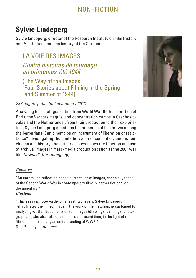# **Sylvie Lindeperg**

Sylvie Lindeperg, director of the Research Institute on Film History and Aesthetics, teaches history at the Sorbonne.

### LA VOIE DES IMAGES

### *Quatre histoires de tournage au printemps-été 1944*

#### (The Way of the Images. Four Stories about Filming in the Spring and Summer of 1944)

#### *288 pages, published in January 2013*

Analysing four footages dating from World War II (the liberation of Paris, the Vercors maquis, and concentration camps in Czechoslovakia and the Netherlands), from their production to their exploitation, Sylvie Lindeperg questions the presence of film crews among the barbarians. Can cinema be an instrument of liberation or resistance? Investigating the limits between documentary and fiction, cinema and history, the author also examines the function and use of archival images in mass-media productions such as the 2004 war film *Downfall* (*Der Untergang*).

#### *Reviews*

"An enthralling reflection on the current use of images, especially those of the Second World War in contemporary films, whether fictional or documentary." *L'Histoire*

"This essay is noteworthy on a least two levels: Sylvie Lindeperg rehabilitates the filmed image in the work of the historian, accustomed to analyzing written documents or still images (drawings, paintings, photographs...); she also takes a stand in our present time, in the light of recent films meant to convey an understanding of WW2." Dork Zabunyan, *Art press*

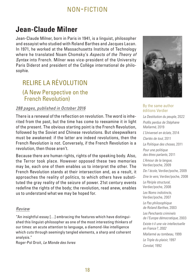# **Jean-Claude Milner**

Jean-Claude Milner, born in Paris in 1941, is a linguist, philosopher and essayist who studied with Roland Barthes and Jacques Lacan. In 1971, he worked at the Massachusetts Institute of Technology where he translated Noam Chomsky's *Aspects of the Theory of Syntax* into French. Milner was vice-president of the University Paris Diderot and president of the Collège international de philosophie.

### RELIRE LA RÉVOLUTION (A New Perspective on the French Revolution)

### *288 pages, published in October 2016*

There is a renewal of the reflection on revolution. The word is inherited from the past, but the time has come to reexamine it in light of the present. The obvious starting point is the French Revolution, followed by the Soviet and Chinese revolutions. But sleepwalkers must be awakened: if the latter are indeed revolutions, then the French Revolution is not. Conversely, if the French Revolution is a revolution, then those aren't.

Because there are human rights, rights of the speaking body. Also, the Terror took place. However opposed these two memories may be, each one of them enables us to interpret the other. The French Revolution stands at their intersection and, as a result, it approaches the reality of politics, to which others have substituted the gray reality of the seizure of power. 21st century events redefine the rights of the body; the revolution, read anew, enables us to understand what we may be hoped for.

#### *Review*

"An insightful essay […] embracing the features which have distinguished this linguist-philosopher as one of the most interesting thinkers of our times: an acute attention to language, a diamond-like intelligence which cuts through seemingly tangled elements, a sharp and coherent analysis."

Roger-Pol Droit, *Le Monde des livres*



#### By the same author éditions Verdier

*La Destitution du peuple,* 2022 *Profils perdus de Stéphane Mallarmé,* 2019 *L'Universel en éclats,* 2014 *Clartés de tout,* 2011 *La Politique des choses,* 2011 *Pour une politique des êtres parlants,* 2011 *L'Amour de la langue,* Verdier/poche, 2009 *De l'école,* Verdier/poche, 2009 *Dire le vers,* Verdier/poche, 2008 *Le Périple structural,* Verdier/poche, 2008 *Les Noms indistincts,* Verdier/poche, 2007 *Le Pas philosophique de Roland Barthes,* 2003 *Les Penchants criminels de l'Europe démocratique,* 2003 *Existe-t-il une vie intellectuelle en France ?, 2002 Mallarmé au tombeau,* 1999 *Le Triple du plaisir,* 1997 *Constat,* 1992